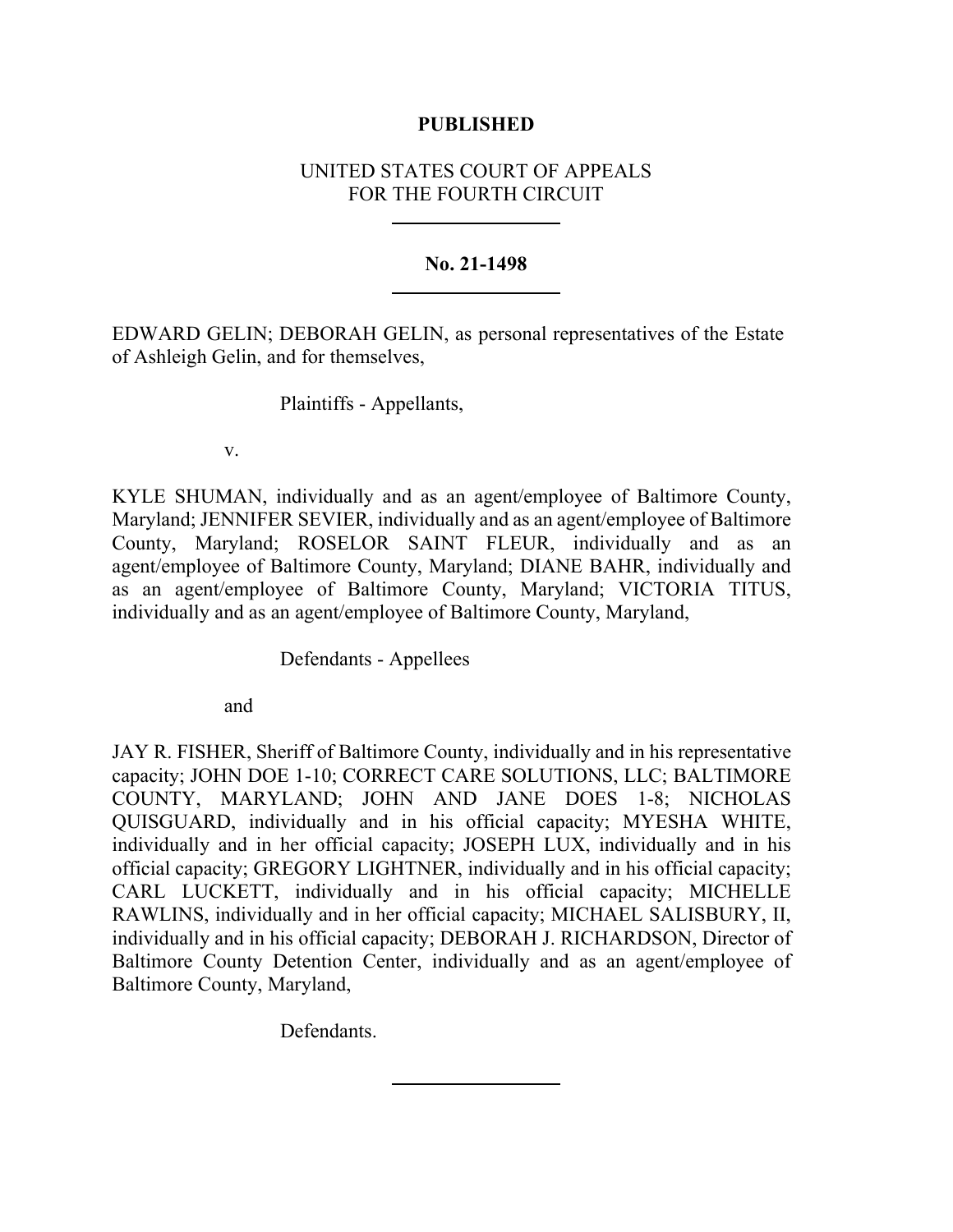## **PUBLISHED**

# UNITED STATES COURT OF APPEALS FOR THE FOURTH CIRCUIT

## **No. 21-1498**

EDWARD GELIN; DEBORAH GELIN, as personal representatives of the Estate of Ashleigh Gelin, and for themselves,

Plaintiffs - Appellants,

v.

KYLE SHUMAN, individually and as an agent/employee of Baltimore County, Maryland; JENNIFER SEVIER, individually and as an agent/employee of Baltimore County, Maryland; ROSELOR SAINT FLEUR, individually and as an agent/employee of Baltimore County, Maryland; DIANE BAHR, individually and as an agent/employee of Baltimore County, Maryland; VICTORIA TITUS, individually and as an agent/employee of Baltimore County, Maryland,

Defendants - Appellees

and

JAY R. FISHER, Sheriff of Baltimore County, individually and in his representative capacity; JOHN DOE 1-10; CORRECT CARE SOLUTIONS, LLC; BALTIMORE COUNTY, MARYLAND; JOHN AND JANE DOES 1-8; NICHOLAS QUISGUARD, individually and in his official capacity; MYESHA WHITE, individually and in her official capacity; JOSEPH LUX, individually and in his official capacity; GREGORY LIGHTNER, individually and in his official capacity; CARL LUCKETT, individually and in his official capacity; MICHELLE RAWLINS, individually and in her official capacity; MICHAEL SALISBURY, II, individually and in his official capacity; DEBORAH J. RICHARDSON, Director of Baltimore County Detention Center, individually and as an agent/employee of Baltimore County, Maryland,

Defendants.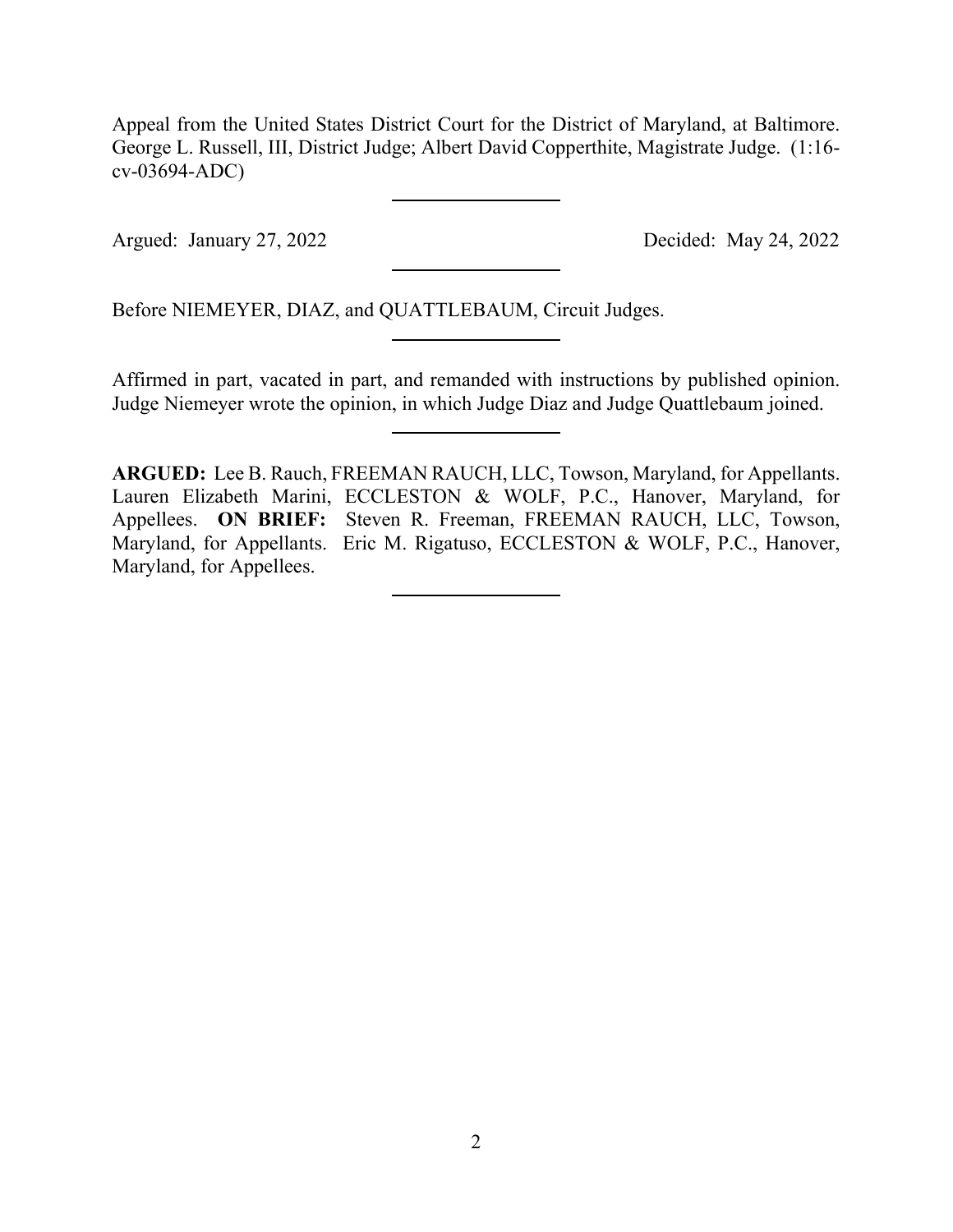Appeal from the United States District Court for the District of Maryland, at Baltimore. George L. Russell, III, District Judge; Albert David Copperthite, Magistrate Judge. (1:16 cv-03694-ADC)

Argued: January 27, 2022 Decided: May 24, 2022

Before NIEMEYER, DIAZ, and QUATTLEBAUM, Circuit Judges.

Affirmed in part, vacated in part, and remanded with instructions by published opinion. Judge Niemeyer wrote the opinion, in which Judge Diaz and Judge Quattlebaum joined.

**ARGUED:** Lee B. Rauch, FREEMAN RAUCH, LLC, Towson, Maryland, for Appellants. Lauren Elizabeth Marini, ECCLESTON & WOLF, P.C., Hanover, Maryland, for Appellees. **ON BRIEF:** Steven R. Freeman, FREEMAN RAUCH, LLC, Towson, Maryland, for Appellants. Eric M. Rigatuso, ECCLESTON & WOLF, P.C., Hanover, Maryland, for Appellees.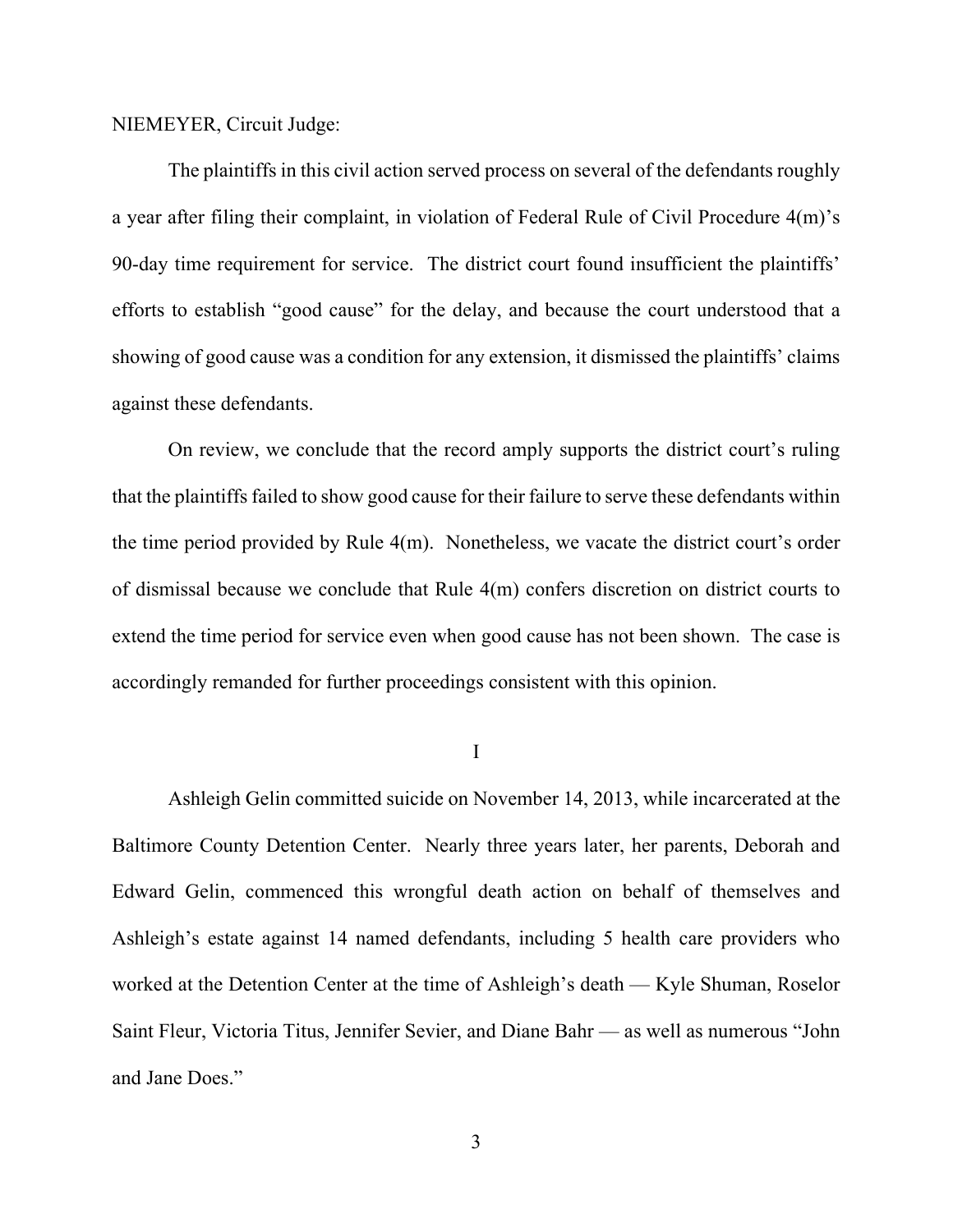### NIEMEYER, Circuit Judge:

The plaintiffs in this civil action served process on several of the defendants roughly a year after filing their complaint, in violation of Federal Rule of Civil Procedure 4(m)'s 90-day time requirement for service. The district court found insufficient the plaintiffs' efforts to establish "good cause" for the delay, and because the court understood that a showing of good cause was a condition for any extension, it dismissed the plaintiffs' claims against these defendants.

On review, we conclude that the record amply supports the district court's ruling that the plaintiffs failed to show good cause for their failure to serve these defendants within the time period provided by Rule 4(m). Nonetheless, we vacate the district court's order of dismissal because we conclude that Rule 4(m) confers discretion on district courts to extend the time period for service even when good cause has not been shown. The case is accordingly remanded for further proceedings consistent with this opinion.

I

Ashleigh Gelin committed suicide on November 14, 2013, while incarcerated at the Baltimore County Detention Center. Nearly three years later, her parents, Deborah and Edward Gelin, commenced this wrongful death action on behalf of themselves and Ashleigh's estate against 14 named defendants, including 5 health care providers who worked at the Detention Center at the time of Ashleigh's death — Kyle Shuman, Roselor Saint Fleur, Victoria Titus, Jennifer Sevier, and Diane Bahr — as well as numerous "John and Jane Does."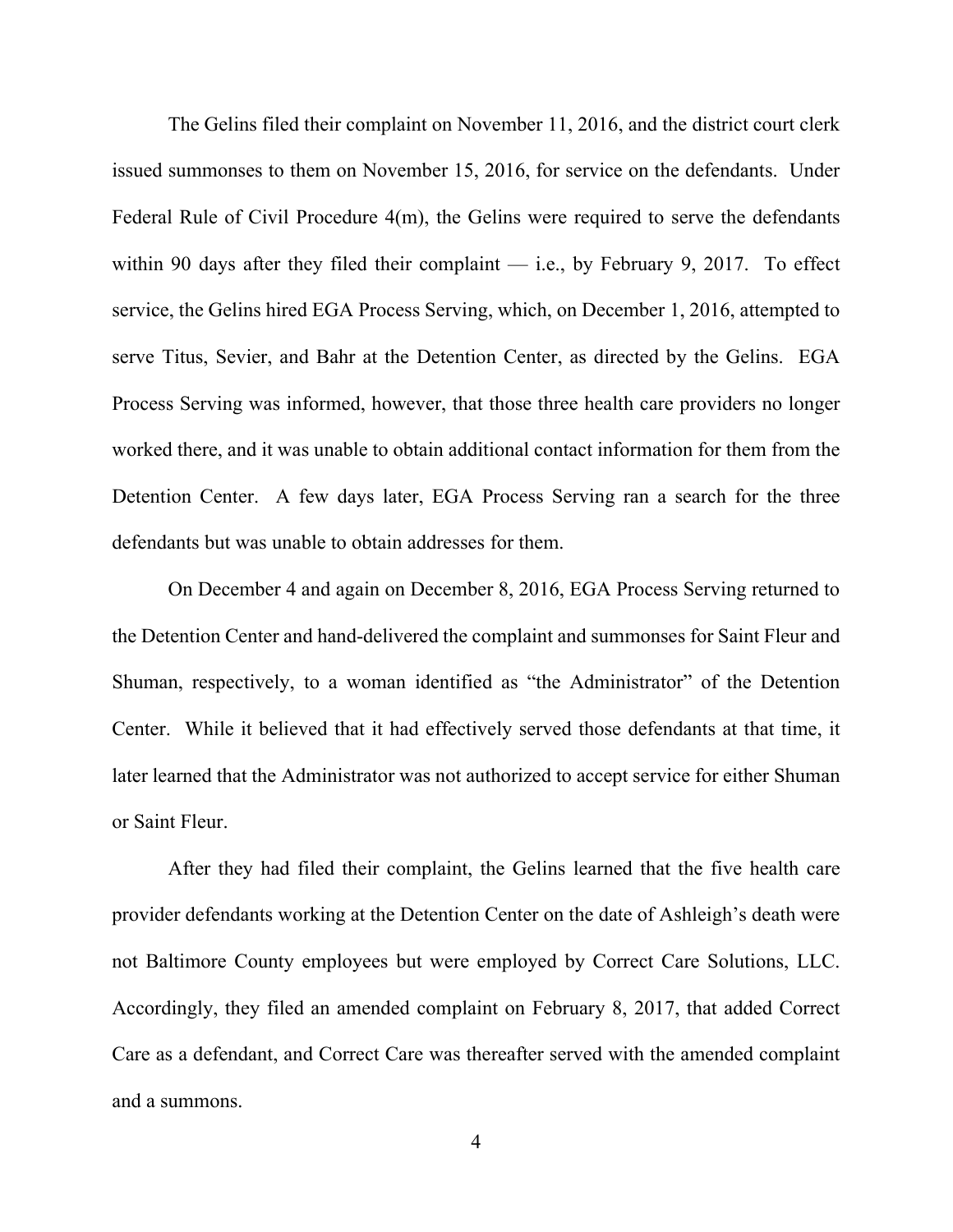The Gelins filed their complaint on November 11, 2016, and the district court clerk issued summonses to them on November 15, 2016, for service on the defendants. Under Federal Rule of Civil Procedure 4(m), the Gelins were required to serve the defendants within 90 days after they filed their complaint  $-$  i.e., by February 9, 2017. To effect service, the Gelins hired EGA Process Serving, which, on December 1, 2016, attempted to serve Titus, Sevier, and Bahr at the Detention Center, as directed by the Gelins. EGA Process Serving was informed, however, that those three health care providers no longer worked there, and it was unable to obtain additional contact information for them from the Detention Center. A few days later, EGA Process Serving ran a search for the three defendants but was unable to obtain addresses for them.

On December 4 and again on December 8, 2016, EGA Process Serving returned to the Detention Center and hand-delivered the complaint and summonses for Saint Fleur and Shuman, respectively, to a woman identified as "the Administrator" of the Detention Center. While it believed that it had effectively served those defendants at that time, it later learned that the Administrator was not authorized to accept service for either Shuman or Saint Fleur.

After they had filed their complaint, the Gelins learned that the five health care provider defendants working at the Detention Center on the date of Ashleigh's death were not Baltimore County employees but were employed by Correct Care Solutions, LLC. Accordingly, they filed an amended complaint on February 8, 2017, that added Correct Care as a defendant, and Correct Care was thereafter served with the amended complaint and a summons.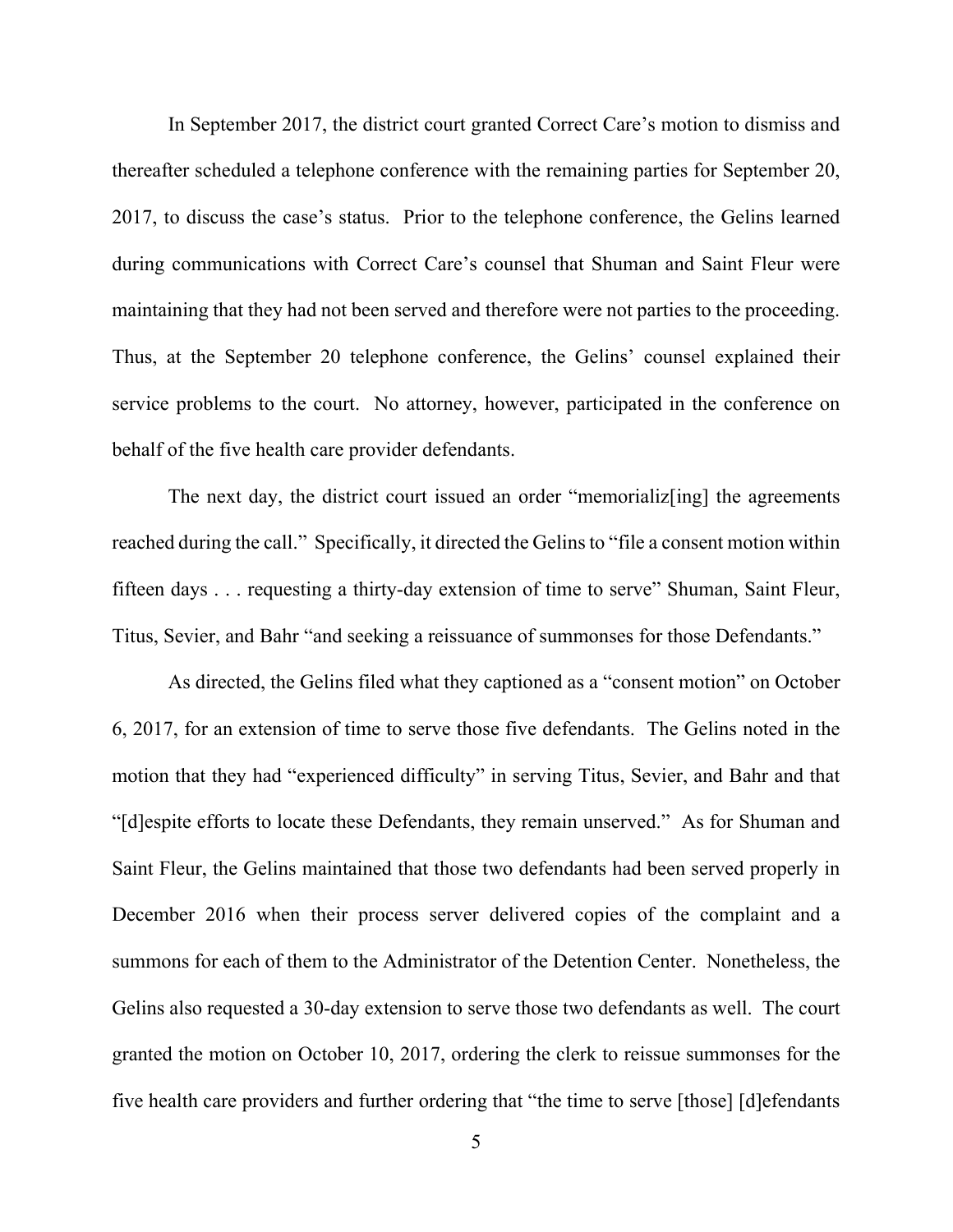In September 2017, the district court granted Correct Care's motion to dismiss and thereafter scheduled a telephone conference with the remaining parties for September 20, 2017, to discuss the case's status. Prior to the telephone conference, the Gelins learned during communications with Correct Care's counsel that Shuman and Saint Fleur were maintaining that they had not been served and therefore were not parties to the proceeding. Thus, at the September 20 telephone conference, the Gelins' counsel explained their service problems to the court. No attorney, however, participated in the conference on behalf of the five health care provider defendants.

The next day, the district court issued an order "memorializ[ing] the agreements reached during the call." Specifically, it directed the Gelins to "file a consent motion within fifteen days . . . requesting a thirty-day extension of time to serve" Shuman, Saint Fleur, Titus, Sevier, and Bahr "and seeking a reissuance of summonses for those Defendants."

As directed, the Gelins filed what they captioned as a "consent motion" on October 6, 2017, for an extension of time to serve those five defendants. The Gelins noted in the motion that they had "experienced difficulty" in serving Titus, Sevier, and Bahr and that "[d]espite efforts to locate these Defendants, they remain unserved." As for Shuman and Saint Fleur, the Gelins maintained that those two defendants had been served properly in December 2016 when their process server delivered copies of the complaint and a summons for each of them to the Administrator of the Detention Center. Nonetheless, the Gelins also requested a 30-day extension to serve those two defendants as well. The court granted the motion on October 10, 2017, ordering the clerk to reissue summonses for the five health care providers and further ordering that "the time to serve [those] [d]efendants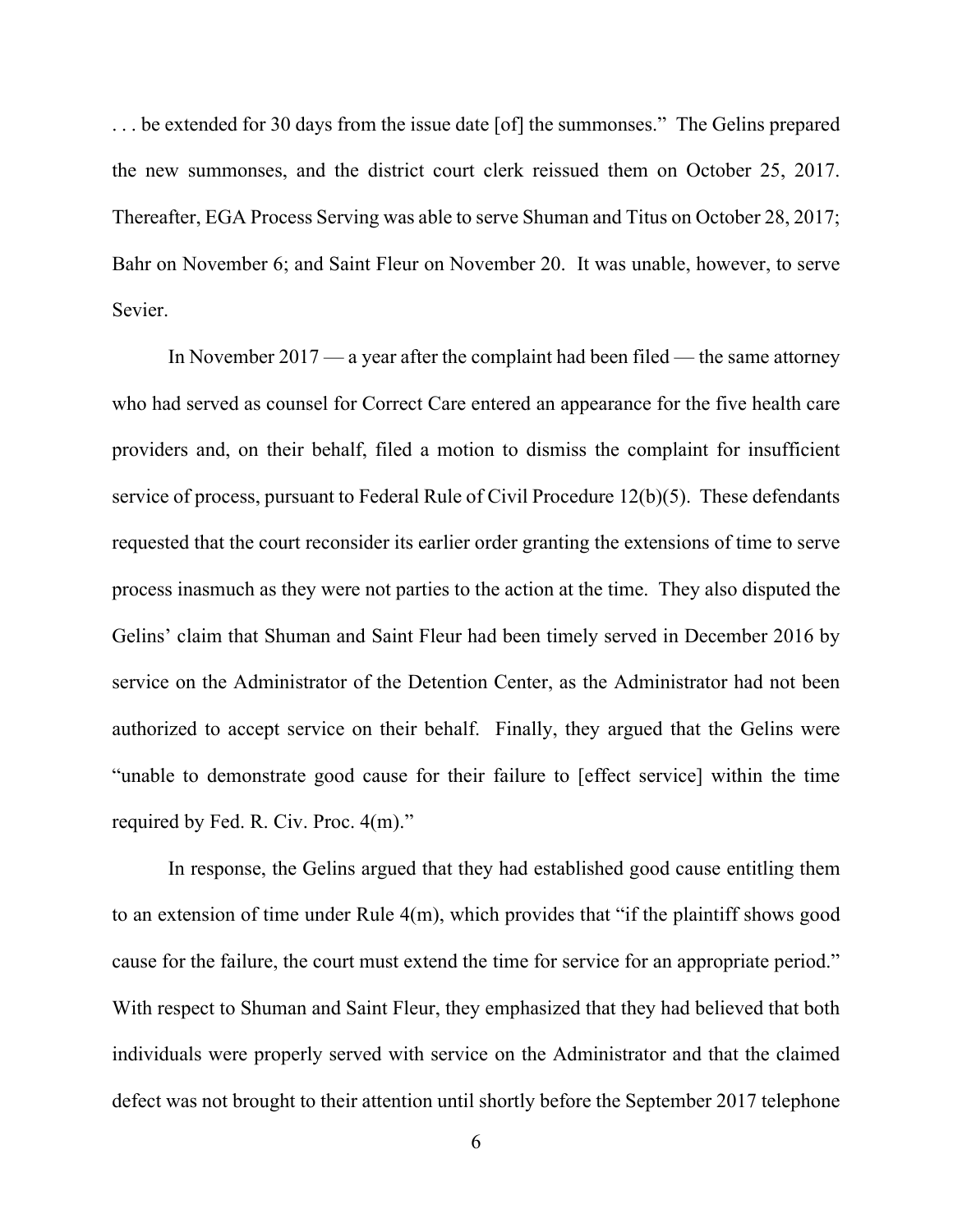. . . be extended for 30 days from the issue date [of] the summonses." The Gelins prepared the new summonses, and the district court clerk reissued them on October 25, 2017. Thereafter, EGA Process Serving was able to serve Shuman and Titus on October 28, 2017; Bahr on November 6; and Saint Fleur on November 20. It was unable, however, to serve Sevier.

In November 2017 — a year after the complaint had been filed — the same attorney who had served as counsel for Correct Care entered an appearance for the five health care providers and, on their behalf, filed a motion to dismiss the complaint for insufficient service of process, pursuant to Federal Rule of Civil Procedure 12(b)(5). These defendants requested that the court reconsider its earlier order granting the extensions of time to serve process inasmuch as they were not parties to the action at the time. They also disputed the Gelins' claim that Shuman and Saint Fleur had been timely served in December 2016 by service on the Administrator of the Detention Center, as the Administrator had not been authorized to accept service on their behalf. Finally, they argued that the Gelins were "unable to demonstrate good cause for their failure to [effect service] within the time required by Fed. R. Civ. Proc. 4(m)."

In response, the Gelins argued that they had established good cause entitling them to an extension of time under Rule 4(m), which provides that "if the plaintiff shows good cause for the failure, the court must extend the time for service for an appropriate period." With respect to Shuman and Saint Fleur, they emphasized that they had believed that both individuals were properly served with service on the Administrator and that the claimed defect was not brought to their attention until shortly before the September 2017 telephone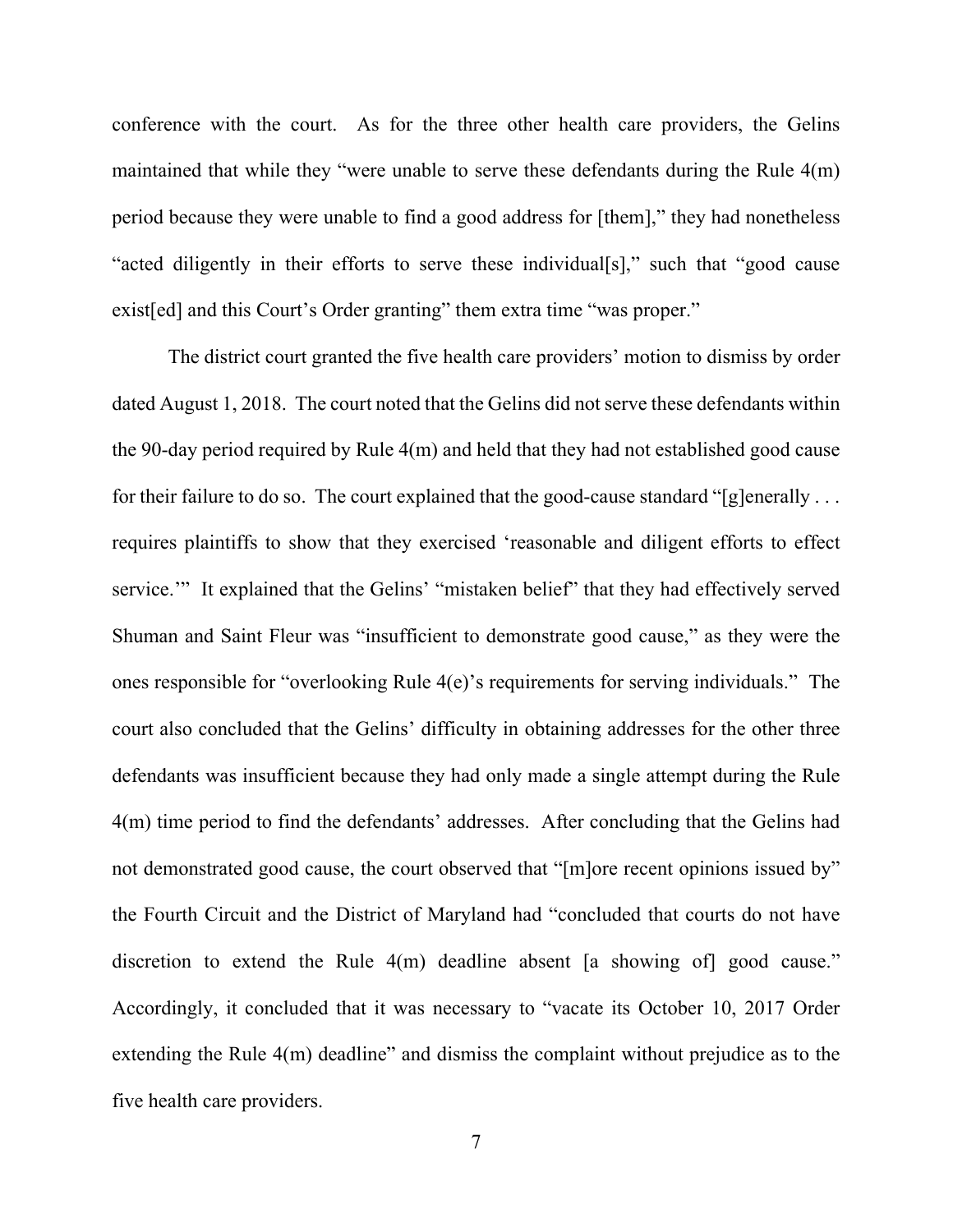conference with the court. As for the three other health care providers, the Gelins maintained that while they "were unable to serve these defendants during the Rule 4(m) period because they were unable to find a good address for [them]," they had nonetheless "acted diligently in their efforts to serve these individual[s]," such that "good cause exist[ed] and this Court's Order granting" them extra time "was proper."

The district court granted the five health care providers' motion to dismiss by order dated August 1, 2018. The court noted that the Gelins did not serve these defendants within the 90-day period required by Rule 4(m) and held that they had not established good cause for their failure to do so. The court explained that the good-cause standard "[g]enerally ... requires plaintiffs to show that they exercised 'reasonable and diligent efforts to effect service." It explained that the Gelins' "mistaken belief" that they had effectively served Shuman and Saint Fleur was "insufficient to demonstrate good cause," as they were the ones responsible for "overlooking Rule 4(e)'s requirements for serving individuals." The court also concluded that the Gelins' difficulty in obtaining addresses for the other three defendants was insufficient because they had only made a single attempt during the Rule 4(m) time period to find the defendants' addresses. After concluding that the Gelins had not demonstrated good cause, the court observed that "[m]ore recent opinions issued by" the Fourth Circuit and the District of Maryland had "concluded that courts do not have discretion to extend the Rule 4(m) deadline absent [a showing of] good cause." Accordingly, it concluded that it was necessary to "vacate its October 10, 2017 Order extending the Rule 4(m) deadline" and dismiss the complaint without prejudice as to the five health care providers.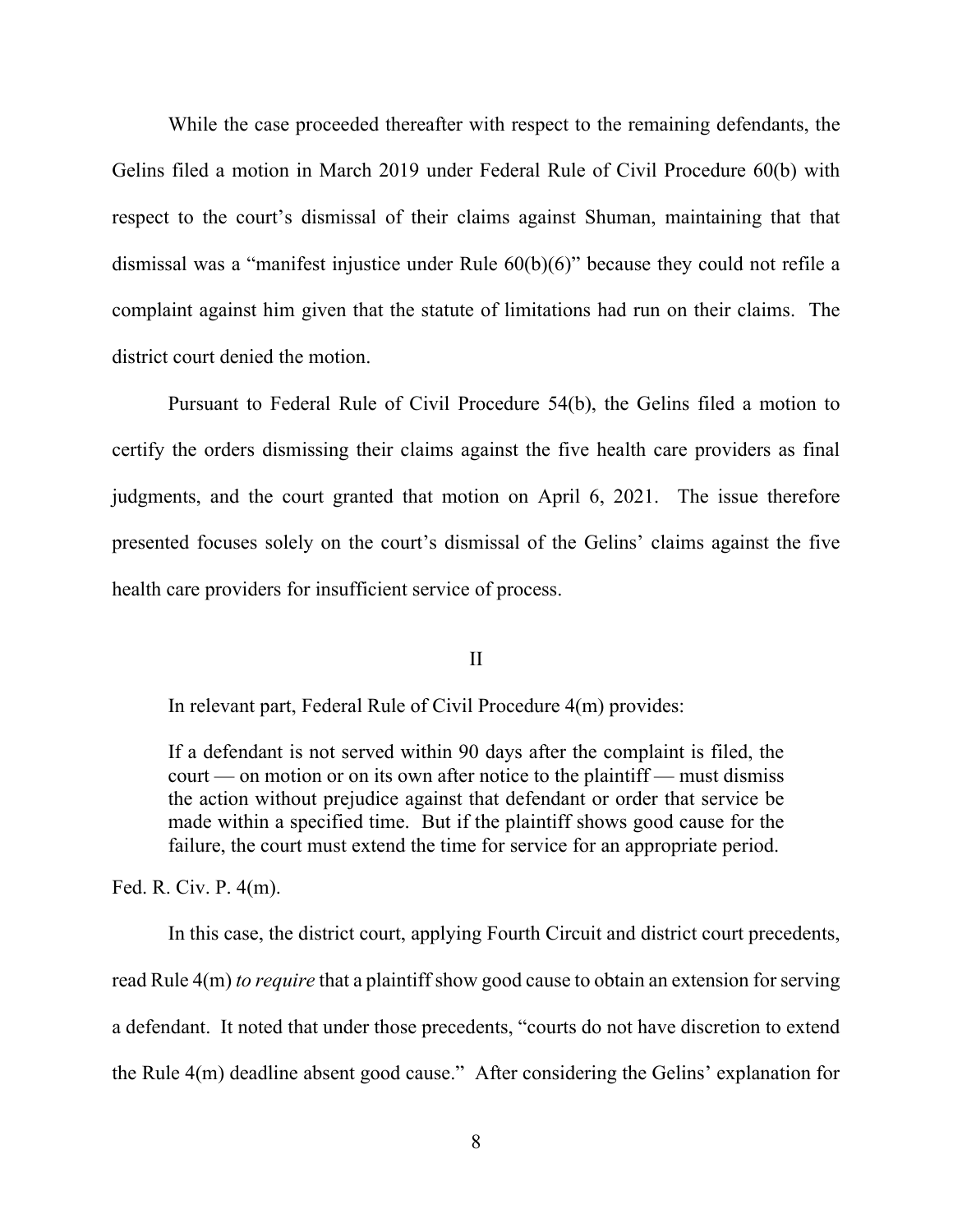While the case proceeded thereafter with respect to the remaining defendants, the Gelins filed a motion in March 2019 under Federal Rule of Civil Procedure 60(b) with respect to the court's dismissal of their claims against Shuman, maintaining that that dismissal was a "manifest injustice under Rule 60(b)(6)" because they could not refile a complaint against him given that the statute of limitations had run on their claims. The district court denied the motion.

Pursuant to Federal Rule of Civil Procedure 54(b), the Gelins filed a motion to certify the orders dismissing their claims against the five health care providers as final judgments, and the court granted that motion on April 6, 2021. The issue therefore presented focuses solely on the court's dismissal of the Gelins' claims against the five health care providers for insufficient service of process.

II

In relevant part, Federal Rule of Civil Procedure 4(m) provides:

If a defendant is not served within 90 days after the complaint is filed, the court — on motion or on its own after notice to the plaintiff — must dismiss the action without prejudice against that defendant or order that service be made within a specified time. But if the plaintiff shows good cause for the failure, the court must extend the time for service for an appropriate period.

Fed. R. Civ. P. 4(m).

In this case, the district court, applying Fourth Circuit and district court precedents, read Rule 4(m) *to require* that a plaintiff show good cause to obtain an extension for serving a defendant. It noted that under those precedents, "courts do not have discretion to extend the Rule 4(m) deadline absent good cause." After considering the Gelins' explanation for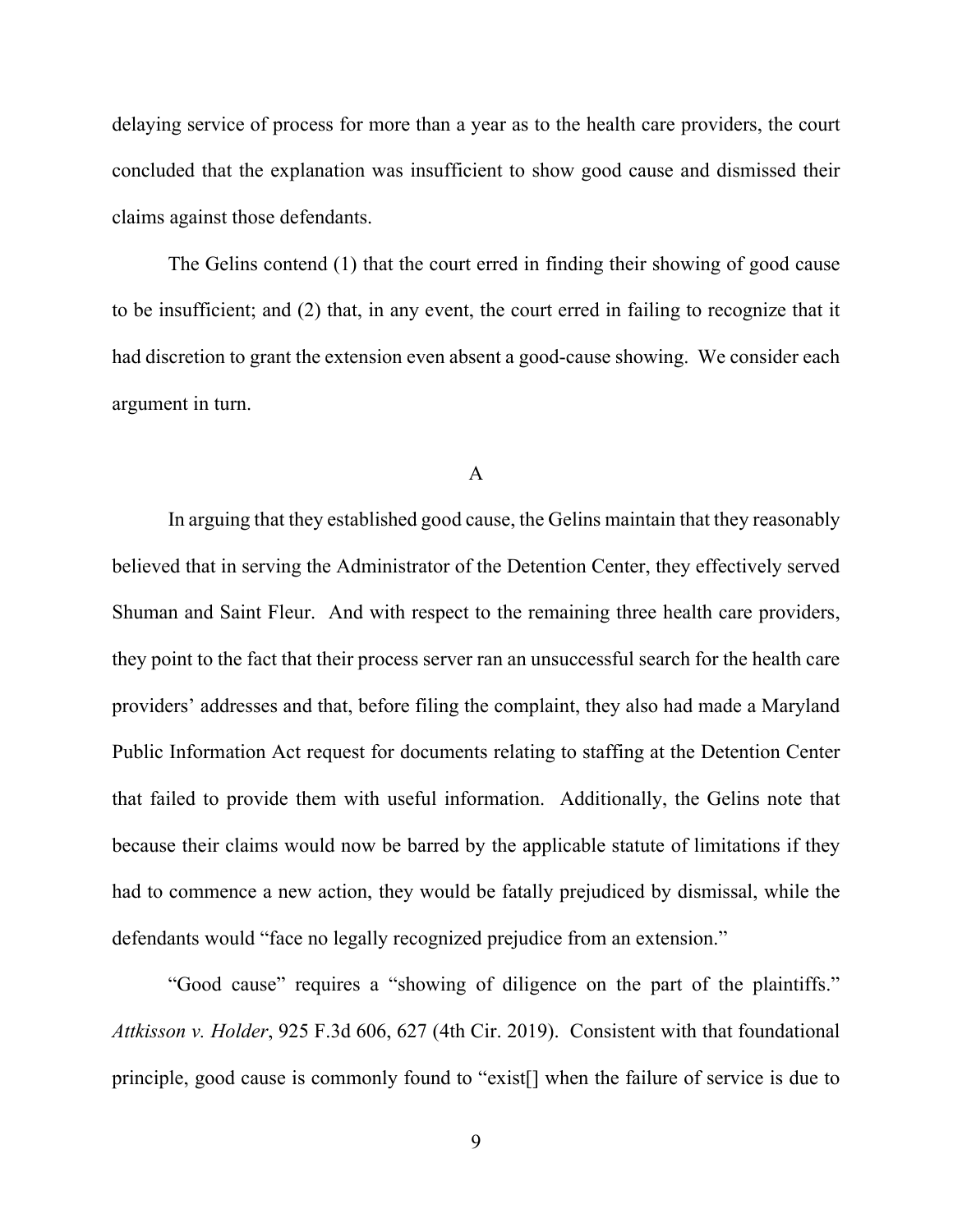delaying service of process for more than a year as to the health care providers, the court concluded that the explanation was insufficient to show good cause and dismissed their claims against those defendants.

The Gelins contend (1) that the court erred in finding their showing of good cause to be insufficient; and (2) that, in any event, the court erred in failing to recognize that it had discretion to grant the extension even absent a good-cause showing. We consider each argument in turn.

A

In arguing that they established good cause, the Gelins maintain that they reasonably believed that in serving the Administrator of the Detention Center, they effectively served Shuman and Saint Fleur. And with respect to the remaining three health care providers, they point to the fact that their process server ran an unsuccessful search for the health care providers' addresses and that, before filing the complaint, they also had made a Maryland Public Information Act request for documents relating to staffing at the Detention Center that failed to provide them with useful information. Additionally, the Gelins note that because their claims would now be barred by the applicable statute of limitations if they had to commence a new action, they would be fatally prejudiced by dismissal, while the defendants would "face no legally recognized prejudice from an extension."

"Good cause" requires a "showing of diligence on the part of the plaintiffs." *Attkisson v. Holder*, 925 F.3d 606, 627 (4th Cir. 2019). Consistent with that foundational principle, good cause is commonly found to "exist[] when the failure of service is due to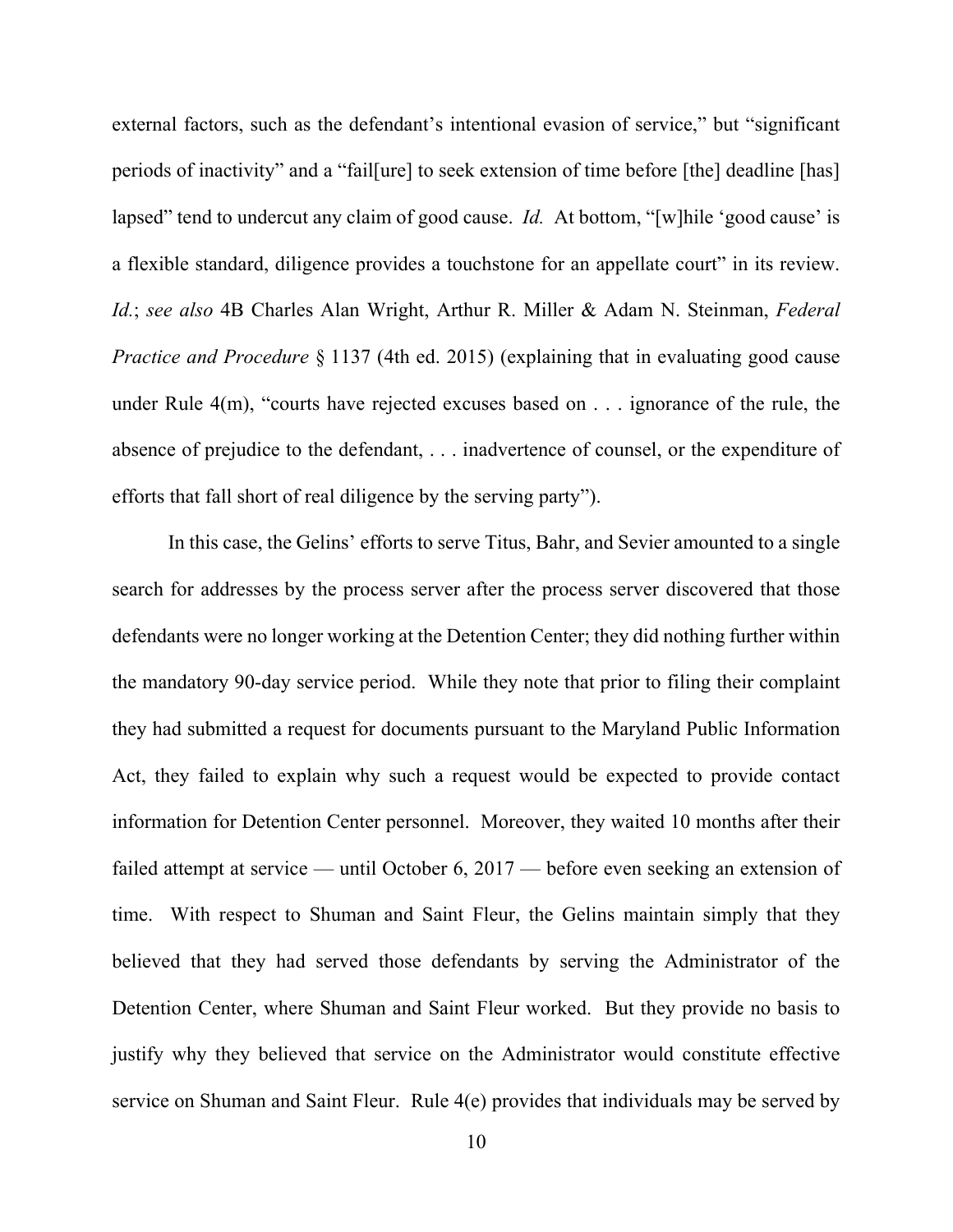external factors, such as the defendant's intentional evasion of service," but "significant periods of inactivity" and a "fail[ure] to seek extension of time before [the] deadline [has] lapsed" tend to undercut any claim of good cause. *Id.* At bottom, "[w]hile 'good cause' is a flexible standard, diligence provides a touchstone for an appellate court" in its review. *Id.*; *see also* 4B Charles Alan Wright, Arthur R. Miller & Adam N. Steinman, *Federal Practice and Procedure* § 1137 (4th ed. 2015) (explaining that in evaluating good cause under Rule 4(m), "courts have rejected excuses based on . . . ignorance of the rule, the absence of prejudice to the defendant, . . . inadvertence of counsel, or the expenditure of efforts that fall short of real diligence by the serving party").

In this case, the Gelins' efforts to serve Titus, Bahr, and Sevier amounted to a single search for addresses by the process server after the process server discovered that those defendants were no longer working at the Detention Center; they did nothing further within the mandatory 90-day service period. While they note that prior to filing their complaint they had submitted a request for documents pursuant to the Maryland Public Information Act, they failed to explain why such a request would be expected to provide contact information for Detention Center personnel. Moreover, they waited 10 months after their failed attempt at service — until October 6, 2017 — before even seeking an extension of time. With respect to Shuman and Saint Fleur, the Gelins maintain simply that they believed that they had served those defendants by serving the Administrator of the Detention Center, where Shuman and Saint Fleur worked. But they provide no basis to justify why they believed that service on the Administrator would constitute effective service on Shuman and Saint Fleur. Rule 4(e) provides that individuals may be served by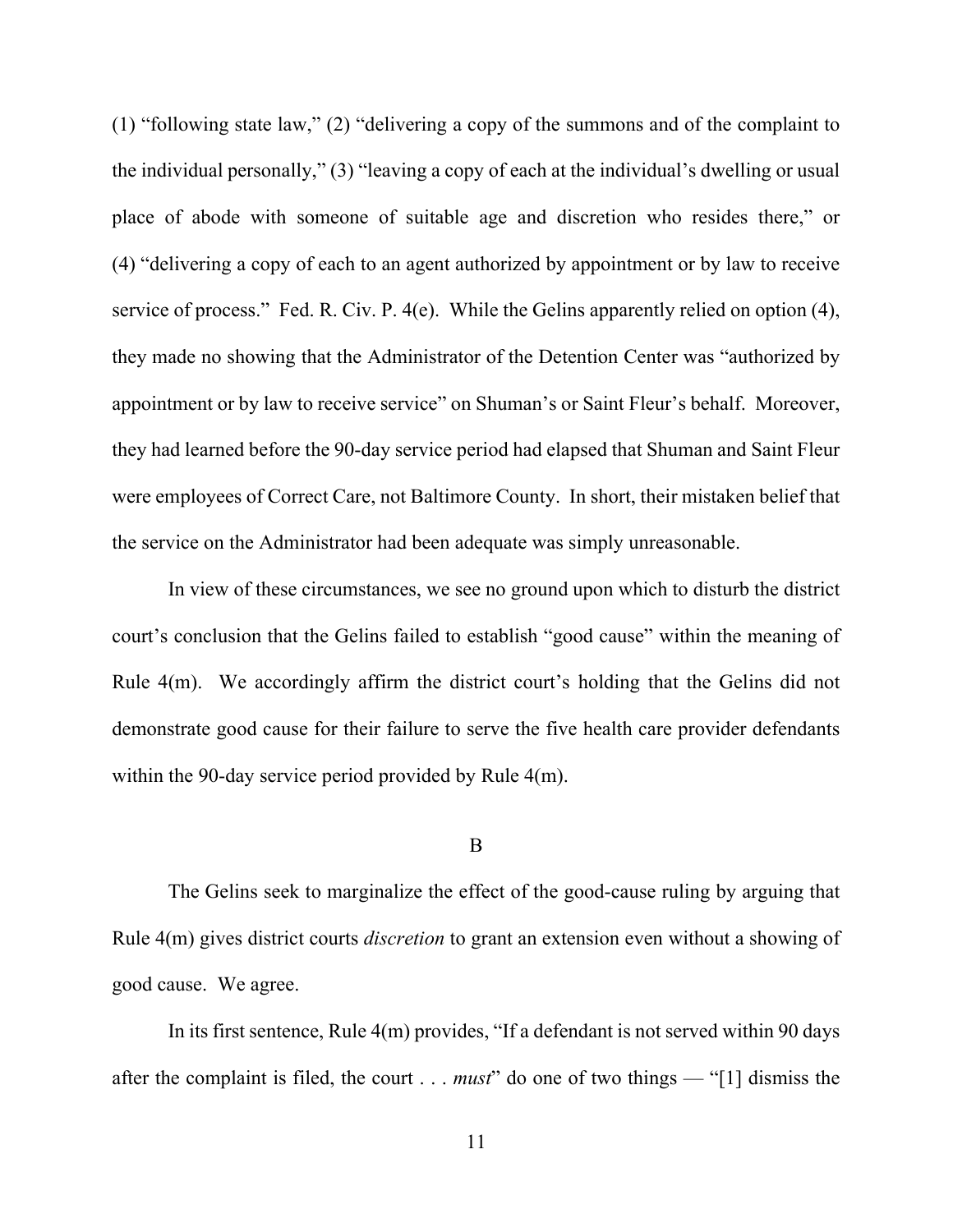(1) "following state law," (2) "delivering a copy of the summons and of the complaint to the individual personally," (3) "leaving a copy of each at the individual's dwelling or usual place of abode with someone of suitable age and discretion who resides there," or (4) "delivering a copy of each to an agent authorized by appointment or by law to receive service of process." Fed. R. Civ. P. 4(e). While the Gelins apparently relied on option (4), they made no showing that the Administrator of the Detention Center was "authorized by appointment or by law to receive service" on Shuman's or Saint Fleur's behalf. Moreover, they had learned before the 90-day service period had elapsed that Shuman and Saint Fleur were employees of Correct Care, not Baltimore County. In short, their mistaken belief that the service on the Administrator had been adequate was simply unreasonable.

In view of these circumstances, we see no ground upon which to disturb the district court's conclusion that the Gelins failed to establish "good cause" within the meaning of Rule 4(m). We accordingly affirm the district court's holding that the Gelins did not demonstrate good cause for their failure to serve the five health care provider defendants within the 90-day service period provided by Rule 4(m).

#### B

The Gelins seek to marginalize the effect of the good-cause ruling by arguing that Rule 4(m) gives district courts *discretion* to grant an extension even without a showing of good cause. We agree.

In its first sentence, Rule 4(m) provides, "If a defendant is not served within 90 days after the complaint is filed, the court . . . *must*" do one of two things — "[1] dismiss the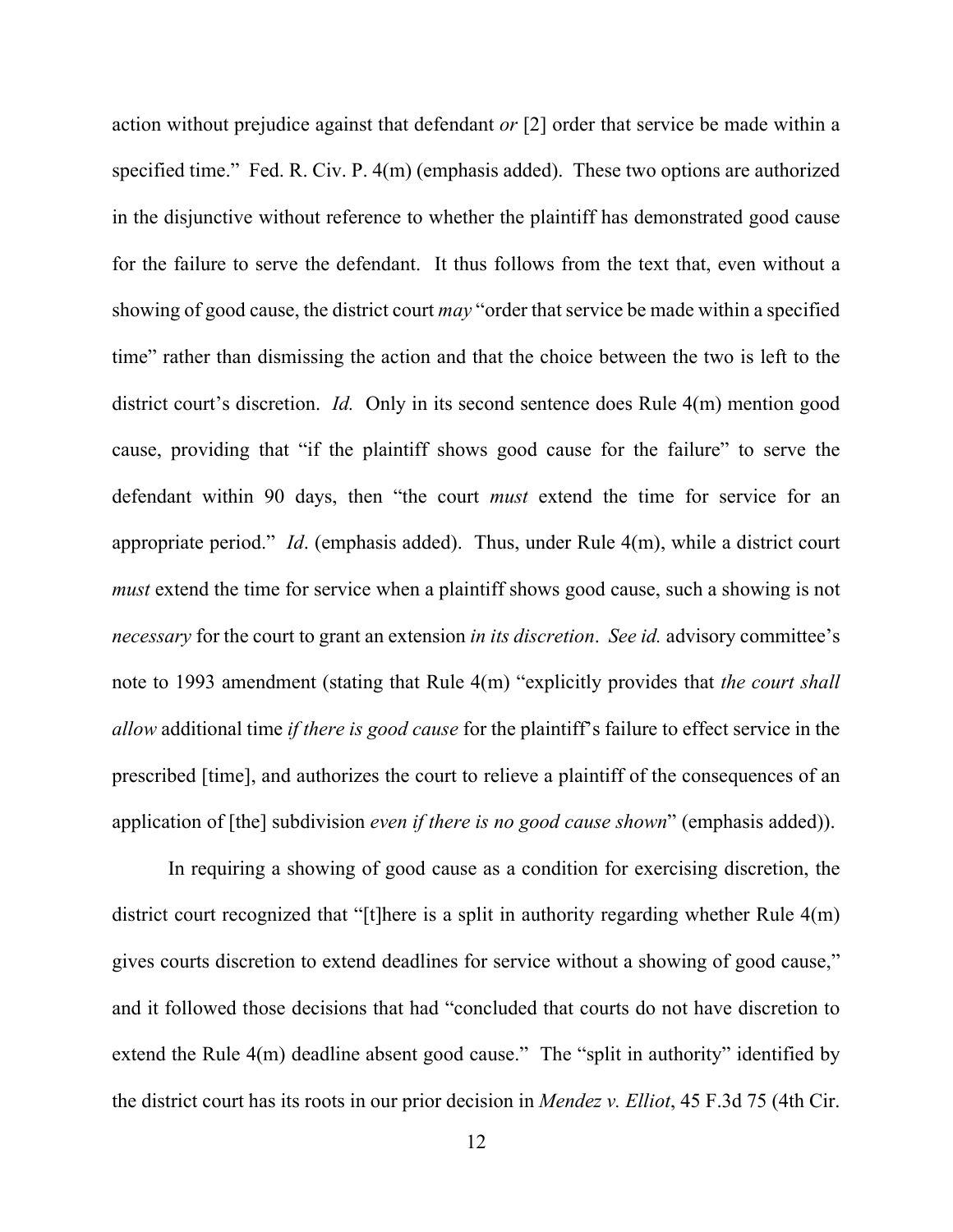action without prejudice against that defendant *or* [2] order that service be made within a specified time." Fed. R. Civ. P. 4(m) (emphasis added). These two options are authorized in the disjunctive without reference to whether the plaintiff has demonstrated good cause for the failure to serve the defendant. It thus follows from the text that, even without a showing of good cause, the district court *may* "order that service be made within a specified time" rather than dismissing the action and that the choice between the two is left to the district court's discretion. *Id.* Only in its second sentence does Rule 4(m) mention good cause, providing that "if the plaintiff shows good cause for the failure" to serve the defendant within 90 days, then "the court *must* extend the time for service for an appropriate period." *Id*. (emphasis added). Thus, under Rule 4(m), while a district court *must* extend the time for service when a plaintiff shows good cause, such a showing is not *necessary* for the court to grant an extension *in its discretion*. *See id.* advisory committee's note to 1993 amendment (stating that Rule 4(m) "explicitly provides that *the court shall allow* additional time *if there is good cause* for the plaintiff's failure to effect service in the prescribed [time], and authorizes the court to relieve a plaintiff of the consequences of an application of [the] subdivision *even if there is no good cause shown*" (emphasis added)).

In requiring a showing of good cause as a condition for exercising discretion, the district court recognized that "[t]here is a split in authority regarding whether Rule 4(m) gives courts discretion to extend deadlines for service without a showing of good cause," and it followed those decisions that had "concluded that courts do not have discretion to extend the Rule 4(m) deadline absent good cause." The "split in authority" identified by the district court has its roots in our prior decision in *Mendez v. Elliot*, 45 F.3d 75 (4th Cir.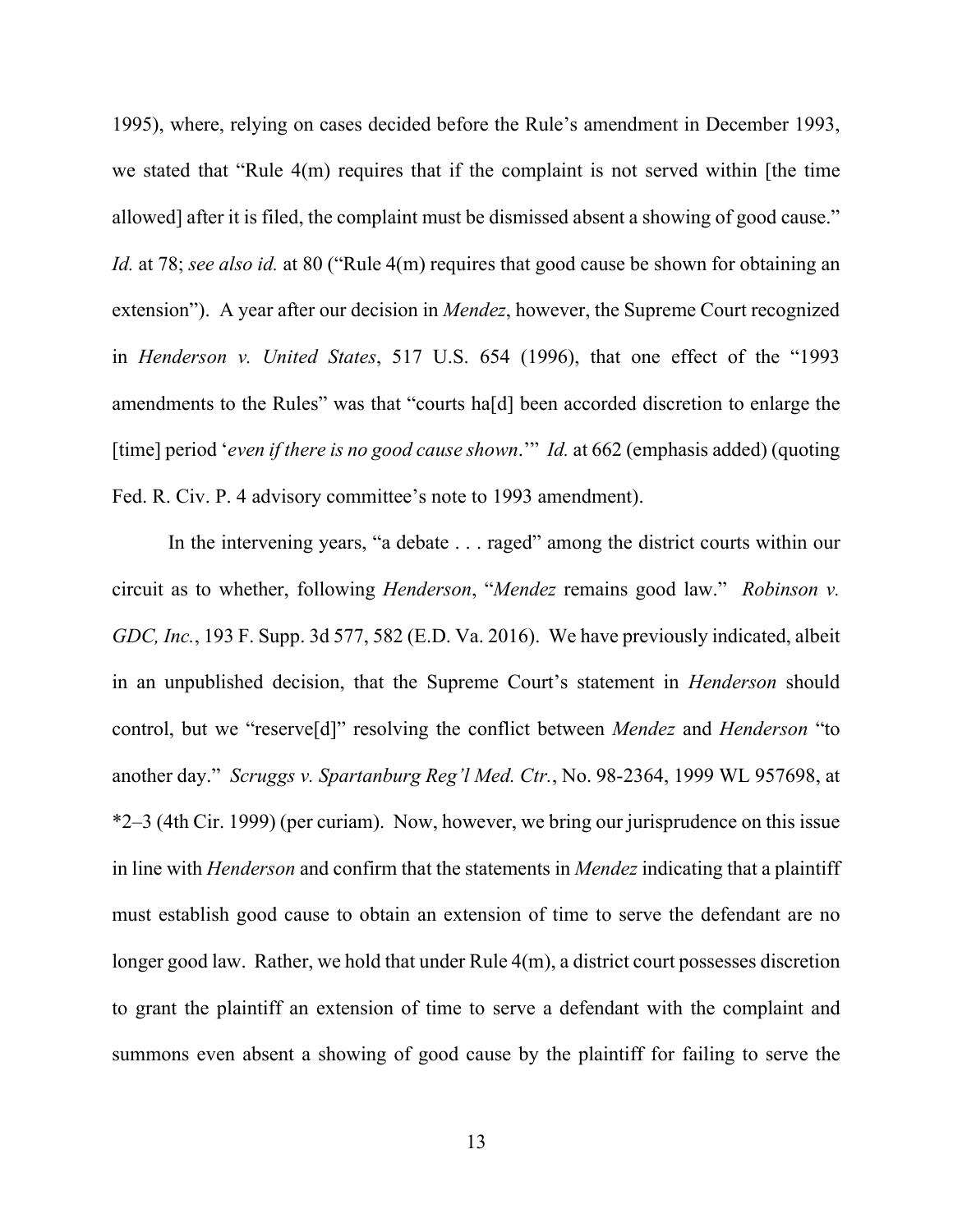1995), where, relying on cases decided before the Rule's amendment in December 1993, we stated that "Rule 4(m) requires that if the complaint is not served within [the time allowed] after it is filed, the complaint must be dismissed absent a showing of good cause." *Id.* at 78; *see also id.* at 80 ("Rule 4(m) requires that good cause be shown for obtaining an extension"). A year after our decision in *Mendez*, however, the Supreme Court recognized in *Henderson v. United States*, 517 U.S. 654 (1996), that one effect of the "1993 amendments to the Rules" was that "courts ha[d] been accorded discretion to enlarge the [time] period '*even if there is no good cause shown*.'" *Id.* at 662 (emphasis added) (quoting Fed. R. Civ. P. 4 advisory committee's note to 1993 amendment).

In the intervening years, "a debate . . . raged" among the district courts within our circuit as to whether, following *Henderson*, "*Mendez* remains good law." *Robinson v. GDC, Inc.*, 193 F. Supp. 3d 577, 582 (E.D. Va. 2016). We have previously indicated, albeit in an unpublished decision, that the Supreme Court's statement in *Henderson* should control, but we "reserve[d]" resolving the conflict between *Mendez* and *Henderson* "to another day." *Scruggs v. Spartanburg Reg'l Med. Ctr.*, No. 98-2364, 1999 WL 957698, at \*2–3 (4th Cir. 1999) (per curiam). Now, however, we bring our jurisprudence on this issue in line with *Henderson* and confirm that the statements in *Mendez* indicating that a plaintiff must establish good cause to obtain an extension of time to serve the defendant are no longer good law. Rather, we hold that under Rule  $4(m)$ , a district court possesses discretion to grant the plaintiff an extension of time to serve a defendant with the complaint and summons even absent a showing of good cause by the plaintiff for failing to serve the